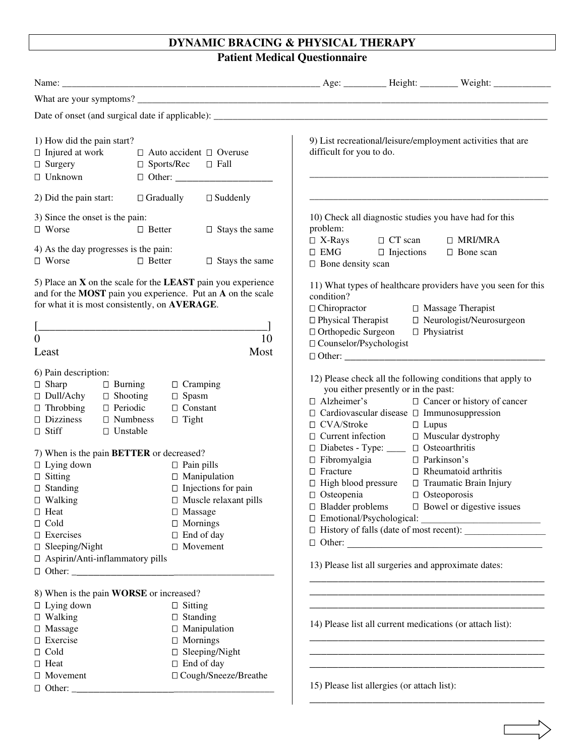## **DYNAMIC BRACING & PHYSICAL THERAPY**

**Patient Medical Questionnaire** 

| 1) How did the pain start?<br>$\Box$ Injured at work<br>$\Box$ Auto accident $\Box$ Overuse<br>$\Box$ Surgery<br>$\Box$ Sports/Rec $\Box$ Fall<br>$\Box$ Unknown                                                                                                                                                                                                                                                                   | 9) List recreational/leisure/employment activities that are<br>difficult for you to do.                                                                                                                                                                                                                                                                                                                                                                                                                                                                                                                                                                                                                                                      |  |  |  |  |  |
|------------------------------------------------------------------------------------------------------------------------------------------------------------------------------------------------------------------------------------------------------------------------------------------------------------------------------------------------------------------------------------------------------------------------------------|----------------------------------------------------------------------------------------------------------------------------------------------------------------------------------------------------------------------------------------------------------------------------------------------------------------------------------------------------------------------------------------------------------------------------------------------------------------------------------------------------------------------------------------------------------------------------------------------------------------------------------------------------------------------------------------------------------------------------------------------|--|--|--|--|--|
| $\Box$ Gradually<br>$\Box$ Suddenly<br>2) Did the pain start:                                                                                                                                                                                                                                                                                                                                                                      |                                                                                                                                                                                                                                                                                                                                                                                                                                                                                                                                                                                                                                                                                                                                              |  |  |  |  |  |
| 3) Since the onset is the pain:<br>$\Box$ Worse<br>$\Box$ Better<br>$\Box$ Stays the same<br>4) As the day progresses is the pain:<br>□ Worse<br>$\Box$ Better<br>$\Box$ Stays the same                                                                                                                                                                                                                                            | 10) Check all diagnostic studies you have had for this<br>problem:<br>$\Box$ X-Rays<br>$\Box$ CT scan<br>$\Box$ MRI/MRA<br>$\Box$ EMG<br>$\Box$ Injections<br>□ Bone scan<br>$\Box$ Bone density scan                                                                                                                                                                                                                                                                                                                                                                                                                                                                                                                                        |  |  |  |  |  |
| 5) Place an $X$ on the scale for the LEAST pain you experience<br>and for the MOST pain you experience. Put an A on the scale<br>for what it is most consistently, on AVERAGE.<br>10<br>$\overline{0}$<br>Most<br>Least                                                                                                                                                                                                            | 11) What types of healthcare providers have you seen for this<br>condition?<br>$\Box$ Chiropractor<br>$\Box$ Massage Therapist<br>□ Physical Therapist<br>□ Neurologist/Neurosurgeon<br>$\Box$ Physiatrist<br>□ Orthopedic Surgeon<br>□ Counselor/Psychologist                                                                                                                                                                                                                                                                                                                                                                                                                                                                               |  |  |  |  |  |
| 6) Pain description:<br>$\Box$ Sharp<br>$\Box$ Burning<br>$\Box$ Cramping<br>$\Box$ Dull/Achy<br>$\Box$ Shooting<br>$\Box$ Spasm<br>$\Box$ Constant<br>$\Box$ Throbbing<br>$\Box$ Periodic<br>$\Box$ Dizziness<br>$\Box$ Numbness<br>$\Box$ Tight<br>□ Unstable<br>$\Box$ Stiff                                                                                                                                                    | 12) Please check all the following conditions that apply to<br>you either presently or in the past:<br>$\Box$ Alzheimer's<br>□ Cancer or history of cancer<br>□ Cardiovascular disease □ Immunosuppression<br>□ CVA/Stroke<br>$\Box$ Lupus<br>$\Box$ Current infection $\Box$ Muscular dyst<br>$\Box$ Diabetes - Type: $\Box$ Disteoarthritis<br>□ Muscular dystrophy                                                                                                                                                                                                                                                                                                                                                                        |  |  |  |  |  |
| 7) When is the pain <b>BETTER</b> or decreased?<br>$\Box$ Lying down<br>$\Box$ Pain pills<br>$\Box$ Sitting<br>$\Box$ Manipulation<br>$\Box$ Injections for pain<br>$\Box$ Standing<br>$\Box$ Walking<br>$\Box$ Muscle relaxant pills<br>$\Box$ Heat<br>$\Box$ Massage<br>$\Box$ Cold<br>$\Box$ Mornings<br>$\Box$ End of day<br>$\Box$ Exercises<br>$\Box$ Sleeping/Night<br>□ Movement<br>$\Box$ Aspirin/Anti-inflammatory pills | $\Box$ Fibromyalgia<br>□ Parkinson's<br>$\Box$ Fracture<br>$\Box$ Rheumatoid arthritis<br>$\Box$ High blood pressure<br>□ Traumatic Brain Injury<br>$\Box$ Osteopenia<br>$\Box$ Osteoporosis<br>$\Box$ Bladder problems $\Box$ Bowel or digestive issues<br>□ Emotional/Psychological:<br>$\Box$ Other:<br>13) Please list all surgeries and approximate dates:                                                                                                                                                                                                                                                                                                                                                                              |  |  |  |  |  |
| 8) When is the pain <b>WORSE</b> or increased?<br>$\Box$ Lying down<br>$\Box$ Sitting<br>$\Box$ Walking<br>$\Box$ Standing<br>$\Box$ Manipulation<br>$\Box$ Massage<br>$\Box$ Exercise<br>$\Box$ Mornings<br>$\Box$ Sleeping/Night<br>$\Box$ Cold<br>$\Box$ End of day<br>$\Box$ Heat                                                                                                                                              | and the control of the control of the control of the control of the control of the control of the control of the<br>the control of the control of the control of the control of the control of the control of the control of the control of the control of the control of the control of the control of the control of the control of the control<br>14) Please list all current medications (or attach list):<br>the control of the control of the control of the control of the control of the control of the control of the control of the control of the control of the control of the control of the control of the control of the control<br>the control of the control of the control of the control of the control of the control of |  |  |  |  |  |
| □ Cough/Sneeze/Breathe<br>$\Box$ Movement                                                                                                                                                                                                                                                                                                                                                                                          | 15) Please list allergies (or attach list):                                                                                                                                                                                                                                                                                                                                                                                                                                                                                                                                                                                                                                                                                                  |  |  |  |  |  |

\_\_\_\_\_\_\_\_\_\_\_\_\_\_\_\_\_\_\_\_\_\_\_\_\_\_\_\_\_\_\_\_\_\_\_\_\_\_\_\_\_